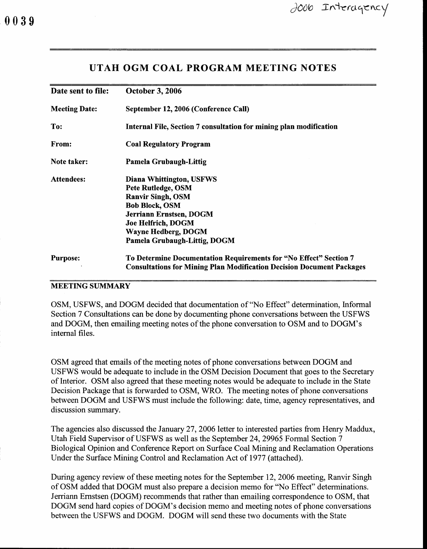## UTAH OGM COAL PROGRAM MEETING NOTES

| Date sent to file:   | <b>October 3, 2006</b>                                                       |
|----------------------|------------------------------------------------------------------------------|
| <b>Meeting Date:</b> | September 12, 2006 (Conference Call)                                         |
| To:                  | Internal File, Section 7 consultation for mining plan modification           |
| From:                | <b>Coal Regulatory Program</b>                                               |
| Note taker:          | Pamela Grubaugh-Littig                                                       |
| <b>Attendees:</b>    | Diana Whittington, USFWS                                                     |
|                      | <b>Pete Rutledge, OSM</b>                                                    |
|                      | <b>Ranvir Singh, OSM</b>                                                     |
|                      | <b>Bob Block, OSM</b>                                                        |
|                      | Jerriann Ernstsen, DOGM                                                      |
|                      | Joe Helfrich, DOGM                                                           |
|                      | Wayne Hedberg, DOGM                                                          |
|                      | Pamela Grubaugh-Littig, DOGM                                                 |
| <b>Purpose:</b>      | To Determine Documentation Requirements for "No Effect" Section 7            |
|                      | <b>Consultations for Mining Plan Modification Decision Document Packages</b> |

#### **MEETING SUMMARY**

OSM, USFWS, and DOGM decided that documentation of "No Effect" determination, Informal Section 7 Consultations can be done by documenting phone conversations between the USFWS and DOGM, then emailing meeting notes of the phone conversation to OSM and to DOGM's internal files.

OSM agreed that emails of the meeting notes of phone conversations between DOGM and USFWS would be adequate to include in the OSM Decision Document that goes to the Secretary of Interior. OSM also agreed that these meeting notes would be adequate to include in the State Decision Package that is forwarded to OSM, WRO. The meeting notes of phone conversations between DOGM and USFWS must include the following: date, time, agency representatives, and discussion summary.

The agencies also discussed the January 27, 2006 letter to interested parties from Henry Maddux, Utah Field Supervisor of USFWS as well as the September24,29965 Formal Section 7 Biological Opinion and Conference Report on Surface Coal Mining and Reclamation Operations Under the Surface Mining Control and Reclamation Act of 1977 (attached).

During agency review of these meeting notes for the September 12, 2006 meeting, Ranvir Singh of OSM added that DOGM must also prepare a decision memo for "No Effect" determinations. Jerriann Ernstsen (DOGM) recommends that rather than emailing correspondence to OSM, that DOGM send hard copies of DOGM's decision memo and meeting notes of phone conversations between the USFWS and DOGM. DOGM will send these two documents with the State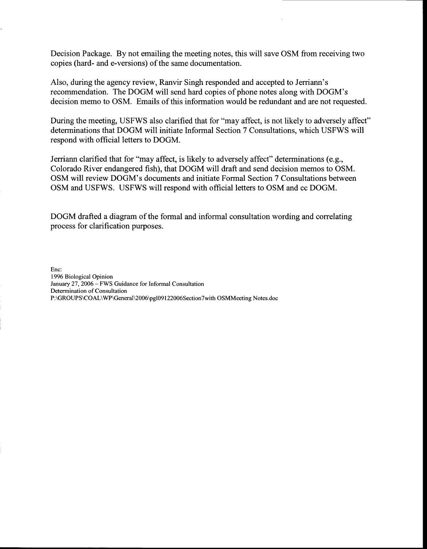Decision Package. By not emailing the meeting notes, this will save OSM from receiving two copies (hard- and e-versions) of the same documentation.

Also, during the agency review, Ranvir Singh responded and accepted to Jerriann's recommendation. The DOGM will send hard copies of phone notes along with DOGM's decision memo to OSM. Emails of this information would be redundant and are not requested.

During the meeting, USFWS also clarified that for "may affect, is not likely to adversely affect" determinations that DOGM will initiate Informal Section 7 Consultations, which USFWS will respond with official letters to DOGM.

Jerriann clarified that for "may affect, is likely to adversely affect" determinations (e.g., Colorado River endangered fish), that DOGM will draft and send decision memos to OSM. OSM will review DOGM's documents and initiate Formal Section 7 Consultations between OSM and USFWS. USFWS will respond with official letters to OSM and cc DOGM.

DOGM drafted a diagram of the formal and informal consultation wording and correlating process for clarification purposes.

Enc: 1996 Biological Opinion January 27,2006 - FWS Guidance for Informal Consultation Determination of Consultation P:\GROUPS\COAL\WP\General\2006\pgl09I22006Section7with OSMMeeting Notes.doc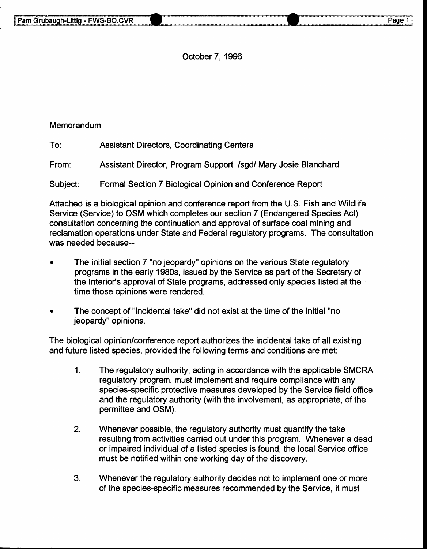October 7, 1996

#### **Memorandum**

To: Assistant Directors, Coordinating Centers

From: Assistant Director, Program Support /sgd/ Mary Josie Blanchard

Subject: Formal Section 7 Biological Opinion and Conference Report

Attached is a biological opinion and conference report from the U.S. Fish and Wildlife Service (Service) to OSM which completes our section 7 (Endangered Species Act) consultation concerning the continuation and approval of surface coal mining and reclamation operations under State and Federal regulatory programs. The consultation was needed because--

- The initial section 7 "no jeopardy" opinions on the various State regulatory programs in the early 1980s, issued by the Service as part of the Secretary of the Interior's approval of State programs, addressed only species listed at the time those opinions were rendered.
- The concept of "incidental take" did not exist at the time of the initial "no jeopardy" opinions.

The biological opinion/conference report authorizes the incidental take of all existing and future listed species, provided the following terms and conditions are met:

- 1. The regulatory authority, acting in accordance with the applicable SMCRA regulatory program, must implement and require compliance with any species-specific protective measures developed by the Service field office and the regulatory authority (with the involvement, as appropriate, of the permittee and OSM).
- 2. Whenever possible, the regulatory authority must quantify the take resulting from activities carried out under this program. Whenever a dead or impaired individual of a listed species is found, the local Service office must be notified within one working day of the discovery.
- 3. Whenever the regulatory authority decides not to implement one or more of the species-specific measures recommended by the Service, it must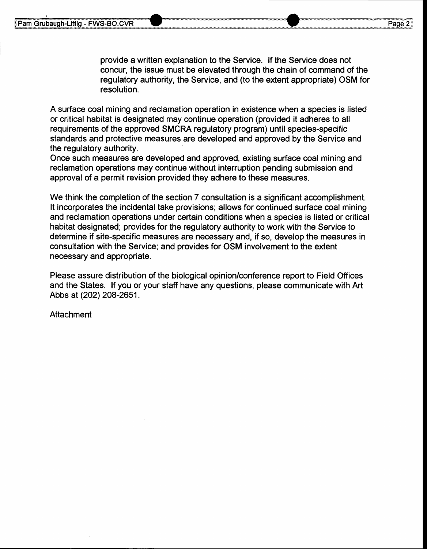provide a written explanation to the Service. lf the Service does not concur, the issue must be elevated through the chain of command of the regulatory authority, the Service, and (to the extent appropriate) OSM for resolution.

A surface coal mining and reclamation operation in existence when a species is listed or critical habitat is designated may continue operation (provided it adheres to all requirements of the approved SMCRA regulatory program) untif species-specific standards and protective measures are developed and approved by the Service and the regulatory authority.

Once such measures are developed and approved, existing surface coal mining and reclamation operations may continue without interruption pending submission and approval of a permit revision provided they adhere to these measures.

We think the completion of the section 7 consultation is a significant accomplishment. It incorporates the incidental take provisions; allows for continued surface coal mining and reclamation operations under certain conditions when a species is listed or critical habitat designated; provides for the regulatory authority to work with the Service to determine if site-specific measures are necessary and, if so, develop the measures in consultation with the Service; and provides for OSM involvement to the extent necessary and appropriate.

Please assure distribution of the biological opinion/conference report to Field Offices and the States. lf you or your staff have any questions, please communicate with Art Abbs at (2o2) 208-2651 .

**Attachment**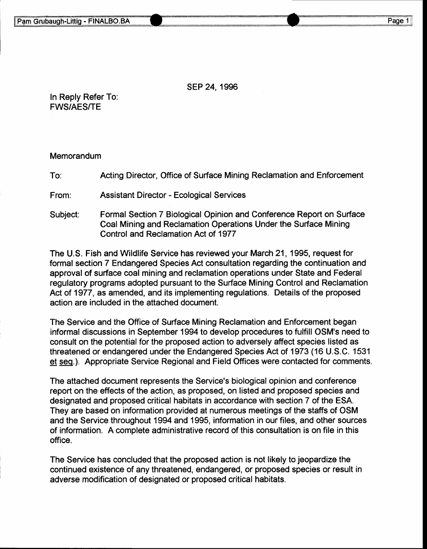sEP 24, 1996

In Reply Refer To: FWS/AES/TE

#### **Memorandum**

To: Acting Director, Office of Surface Mining Reclamation and Enforcement

From: Assistant Director - Ecological Services

Subject: Formal Section 7 Biological Opinion and Conference Report on Surface Coal Mining and Reclamation Operations Under the Surface Mining Control and Reclamation Act of 1977

The U.S. Fish and Wildlife Service has reviewed your March 21, 1995, request for formal section 7 Endangered Species Act consultation regarding the continuation and approval of surface coal mining and reclamation operations under State and Federal regulatory programs adopted pursuant to the Surface Mining Control and Reclamation Act of 1977, as amended, and its implementing regulations. Details of the proposed action are included in the attached document.

The Service and the Office of Surface Mining Reclamation and Enforcement began informal discussions in September 1994 to develop procedures to fulfill OSM's need to consult on the potential for the proposed action to adversely affect species listed as threatened or endangered under the Endangered Species Act of 1973 (16 U.S.C. 1531 et seg.). Appropriate Service Regional and Field Offices were contacted for comments.

The attached document represents the Service's biological opinion and conference report on the effects of the action, as proposed, on listed and proposed species and designated and proposed critical habitats in accordance with section 7 of the ESA. They are based on information provided at numerous meetings of the staffs of OSM and the Service throughout 1994 and 1995, information in our files, and other sources of information. A complete administrative record of this consultation is on file in this office.

The Service has concluded that the proposed action is not likely to jeopardize the continued existence of any threatened, endangered, or proposed species or result in adverse modification of designated or proposed critical habitats.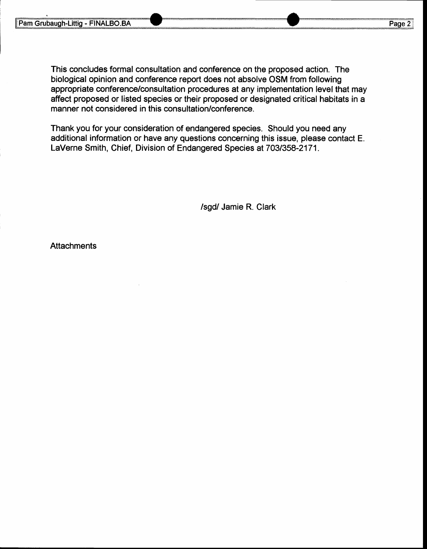This concludes formal consultation and conference on the proposed action. The biological opinion and conference report does not absolve OSM from following appropriate conference/consultation procedures at any implementation level that may affect proposed or listed species or their proposed or designated critical habitats in a manner not considered in this consultation/conference.

Thank you for your consideration of endangered species. Should you need any additional information or have any questions concerning this issue, please contact E. LaVerne Smith, Chief, Division of Endangered Species at 703/358-2171.

/sgd/ Jamie R. Clark

**Attachments**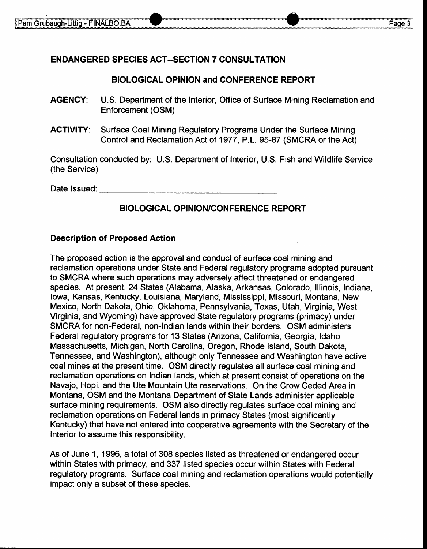### ENDANGERED SPECIES ACT--SECTION 7 CONSULTATION

### BIOLOGICAL OPINION and CONFERENGE REPORT

- AGENCY: U.S. Department of the Interior, Office of Surface Mining Reclamation and Enforcement (OSM)
- ACTIVITY: Surface Coal Mining Regulatory Programs Under the Surface Mining Control and Reclamation Act of 1977, P.L. 95-87 (SMCRA or the Act)

Consultation conducted by: U.S. Department of Interior, U.S. Fish and Wildlife Service (the Service)

Date lssued:

### **BIOLOGICAL OPINION/CONFERENCE REPORT**

#### Description of Proposed Action

The proposed action is the approval and conduct of surface coal mining and reclamation operations under State and Federal regulatory programs adopted pursuant to SMCRA where such operations may adversely affect threatened or endangered species. At present, 24 States (Alabama, Alaska, Arkansas, Colorado, lllinois, Indiana, lowa, Kansas, Kentucky, Louisiana, Maryland, Mississippi, Missouri, Montana, New Mexico, North Dakota, Ohio, Oklahoma, Pennsylvania, Texas, Utah, Virginia, West Virginia, and Wyoming) have approved State regulatory programs (primacy) under SMCRA for non-Federal, non-lndian lands within their borders. OSM administers Federal regulatory programs for 13 States (Arizona, California, Georgia, ldaho, Massachusetts, Michigan, North Carolina, Oregon, Rhode Island, South Dakota, Tennessee, and Washington), although only Tennessee and Washington have active coal mines at the present time. OSM directly regulates all surface coal mining and reclamation operations on Indian lands, which at present consist of operations on the Navajo, Hopi, and the Ute Mountain Ute reservations. On the Crow Ceded Area in Montana, OSM and the Montana Department of State Lands administer applicable surface mining requirements. OSM also directly regulates surface coal mining and reclamation operations on Federal lands in primacy States (most significantly Kentucky) that have not entered into cooperative agreements with the Secretary of the Interior to assume this responsibility.

As of June 1, 1996, a total of 308 species listed as threatened or endangered occur within States with primacy, and 337 listed species occur within States with Federal regulatory programs. Surface coal mining and reclamation operations would potentially impact only a subset of these species.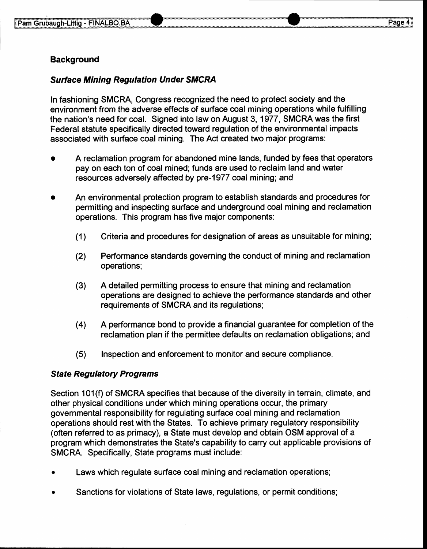## **Background**

## Surtace Mining Regulation Under SMCRA

In fashioning SMCRA, Congress recognized the need to protect society and the environment from the adverse effects of surface coal mining operations while fulfilling the nation's need for coal. Signed into law on August 3, 1977, SMCRA was the first Federal statute specifically directed toward regulation of the environmental impacts associated with surface coal mining. The Act created two major programs:

- A reclamation program for abandoned mine lands, funded by fees that operators pay on each ton of coal mined; funds are used to reclaim land and water resources adversely affected by pre-1977 coal mining; and
- An environmental protection program to establish standards and procedures for permitting and inspecting surface and underground coal mining and reclamation operations. This program has five major components:
	- (1) Criteria and procedures for designation of areas as unsuitable for mining;
	- (2) Performance standards governing the conduct of mining and reclamation operations;
	- (3) A detailed permitting process to ensure that mining and reclamation operations are designed to achieve the performance standards and other requirements of SMCRA and its regulations;
	- (4) A performance bond to provide a financial guarantee for completion of the reclamation plan if the permittee defaults on reclamation obligations; and
	- (5) Inspection and enforcernent to monitor and secure compliance.

#### **State Regulatory Programs**

Section 101(f) of SMCRA specifies that because of the diversity in terrain, climate, and other physical conditions under which mining operations occur, the primary governmental responsibility for regulating surface coal mining and reclamation operations should rest with the States. To achieve primary regulatory responsibility (often referred to as primacy), a State must develop and obtain OSM approval of a program which demonstrates the State's capability to carry out applicable provisions of SMCRA. Specifically, State programs must include:

- Laws which regulate surface coal mining and reclamation operations;
- Sanctions for violations of State laws, regulations, or permit conditions;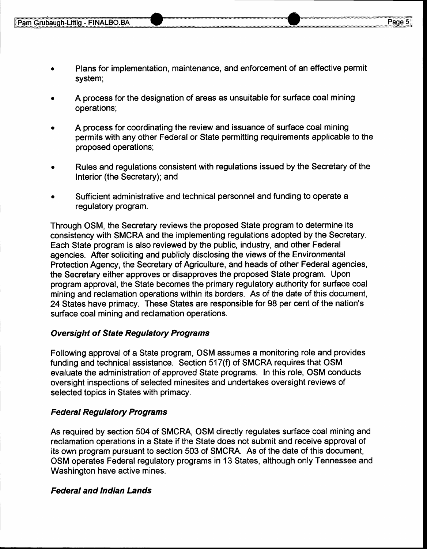- . Plans for implementation, maintenance, and enforcement of an effective permit system;
- A process for the designation of areas as unsuitable for surface coal mining operations;
- A process for coordinating the review and issuance of surface coal mining permits with any other Federal or State permitting requirements applicable to the proposed operations;
- Rules and regulations consistent with regulations issued by the Secretary of the Interior (the Secretary); and
- Sufficient administrative and technical personnel and funding to operate a regulatory program.

Through OSM, the Secretary reviews the proposed State program to determine its consistency with SMCRA and the implementing regulations adopted by the Secretary. Each State program is also reviewed by the public, industry, and other Federal agencies. After soliciting and publicly disclosing the views of the Environmental Protection Agency, the Secretary of Agriculture, and heads of other Federal agencies, the Secretary either approves or disapproves the proposed State program. Upon program approval, the State becomes the primary regulatory authority for surface coal mining and reclamation operations within its borders. As of the date of this document, 24 States have primacy. These States are responsible for 98 per cent of the nation's surface coal mining and reclamation operations.

## Oversight of Sfafe Regulatory Programs

Following approval of a State program, OSM assumes a monitoring role and provides funding and technical assistance. Section 517(f) of SMCRA requires that OSM evaluate the administration of approved State programs. In this role, OSM conducts oversight inspections of selected minesites and undertakes oversight reviews of selected topics in States with primacy.

## **Federal Regulatory Programs**

As required by section 504 of SMCRA, OSM directly regulates surface coal mining and reclamation operations in a State if the State does not submit and receive approval of its own program pursuant to section 503 of SMCRA. As of the date of this document, OSM operates Federal regulatory programs in 13 States, although only Tennessee and Washington have active mines.

## Federal and lndian Lands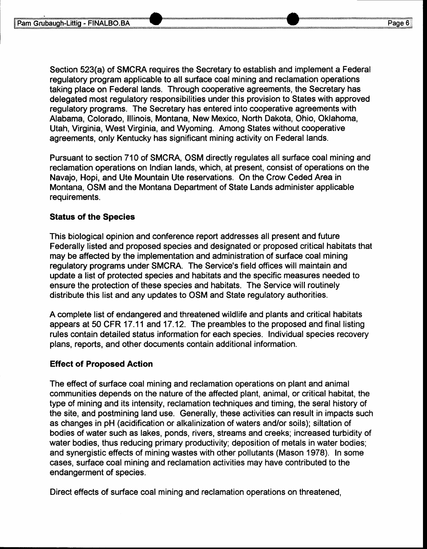Section 523(a) of SMCRA requires the Secretary to establish and implement a Federal regulatory program applicable to all surface coal mining and reclamation operations taking place on Federal lands. Through cooperative agreements, the Secretary has delegated most regulatory responsibilities under this provision to States with approved regulatory programs. The Secretary has entered into cooperative agreements with Alabama, Colorado, lllinois, Montana, New Mexico, North Dakota, Ohio, Oklahoma, Utah, Virginia, West Virginia, and Wyoming. Among States without cooperative agreements, only Kentucky has significant mining activity on Federal lands.

Pursuant to section 710 of SMCRA, OSM directly regulates all surface coal mining and reclamation operations on Indian lands, which, at present, consist of operations on the Navajo, Hopi, and Ute Mountain Ute reservations. On the Crow Ceded Area in Montana, OSM and the Montana Department of State Lands administer applicable requirements.

#### Status of the Species

This biological opinion and conference report addresses all present and future Federally listed and proposed species and designated or proposed critical habitats that may be affected by the implementation and administration of surface coal mining regulatory programs under SMCRA. The Service's field offices will maintain and update a list of protected species and habitats and the specific measures needed to ensure the protection of these species and habitats. The Service will routinely distribute this list and any updates to OSM and State regulatory authorities.

A complete list of endangered and threatened wildlife and plants and critical habitats appears at 50 CFR 17.11 and 17.12. The preambles to the proposed and final listing rules contain detailed status information for each species. Individual species recovery plans, reports, and other documents contain additional information.

#### Effect of Proposed Action

The effect of surface coal mining and reclamation operations on plant and animal communities depends on the nature of the affected plant, animal, or critical habitat, the type of mining and its intensity, reclamation techniques and timing, the seral history of the site, and postmining land use. Generally, these activities can result in impacts such as changes in pH (acidification or alkalinization of waters and/or soils); siltation of bodies of water such as lakes, ponds, rivers, streams and creeks; increased turbidity of water bodies, thus reducing primary productivity; deposition of metals in water bodies; and synergistic effects of mining wastes with other pollutants (Mason 1978). In some cases, surface coal mining and reclamation activities may have contributed to the endangerment of species.

Direct effects of surface coal mining and reclamation operations on threatened,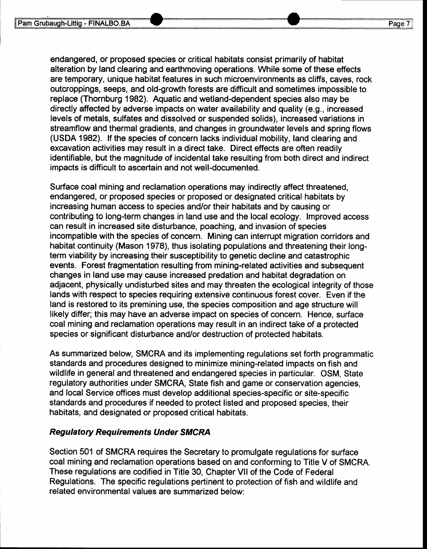endangered, or proposed species or critical habitats consist primarily of habitat alteration by land clearing and earthmoving operations. While some of these effects are temporary, unique habitat features in such microenvironments as cliffs, caves, rock outcroppings, seeps, and old-growth forests are difficult and sometimes impossible to replace (Thornburg 1982). Aquatic and wetland-dependent species also may be directly affected by adverse impacts on water availability and quality (e.g., increased levels of metals, sulfates and dissolved or suspended solids), increased variations in streamflow and thermal gradients, and changes in groundwater levels and spring flows (USDA 1982). lf the species of concern lacks individual mobility, land clearing and excavation activities may result in a direct take. Direct effects are often readily identifiable, but the magnitude of incidental take resulting from both direct and indirect impacts is difficult to ascertain and not well-documented.

Surface coal mining and reclamation operations may indirectly affect threatened, endangered, or proposed species or proposed or designated critical habitats by increasing human access to species and/or their habitats and by causing or contributing to long-term changes in land use and the local ecology. lmproved access can result in increased site disturbance, poaching, and invasion of species incompatible with the species of concern. Mining can interrupt migration corridors and habitat continuity (Mason 1978), thus isolating populations and threatening their longterm viability by increasing their susceptibility to genetic decline and catastrophic events. Forest fragmentation resulting from mining-related activities and subsequent changes in land use may cause increased predation and habitat degradation on adjacent, physically undisturbed sites and may threaten the ecological integrity of those lands with respect to species requiring extensive continuous forest cover. Even if the land is restored to its premining use, the species composition and age structure will likely differ; this may have an adverse impact on species of concern. Hence, surface coal mining and reclamation operations may result in an indirect take of a protected species or significant disturbance and/or destruction of protected habitats.

As summarized below, SMCRA and its implementing regulations set forth programmatic standards and procedures designed to minimize mining-related impacts on fish and wildlife in general and threatened and endangered species in particular. OSM, State regulatory authorities under SMCRA, State fish and game or conservation agencies, and local Service offices must develop additional species-specific or site-specific standards and procedures if needed to protect listed and proposed species, their habitats, and designated or proposed critical habitats.

#### **Regulatory Requirements Under SMCRA**

Section 501 of SMCRA requires the Secretary to promulgate regulations for surface coal mining and reclamation operations based on and conforming to Title V of SMCRA. These regulations are codified in Title 30, Chapter Vll of the Code of Federal Regulations. The specific regulations pertinent to protection of fish and wildlife and related environmental values are summarized below: